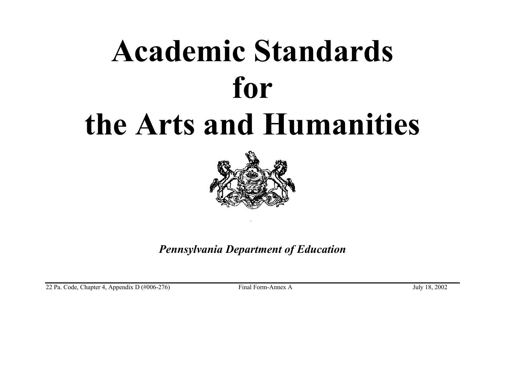

*Pennsylvania Department of Education* 

22 Pa. Code, Chapter 4, Appendix D (#006-276) Final Form-Annex A July 18, 2002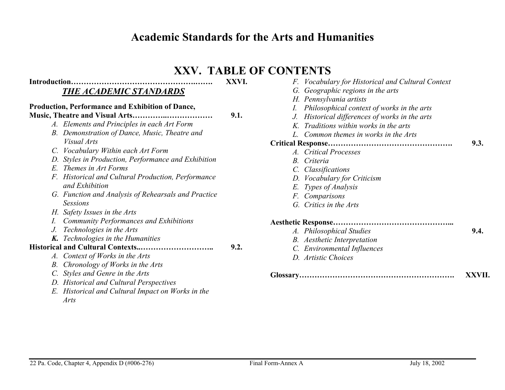#### **XXV. TABLE OF CONTENTS**

**9.1.** 

#### **Introduction………………………………………….……. XXVI.** *THE ACADEMIC STANDARDS*

#### **Production, Performance and Exhibition of Dance,**

- **Music, Theatre and Visual Arts…………..………………** 
	- *A. Elements and Principles in each Art Form*
	- *B. Demonstration of Dance, Music, Theatre and Visual Arts*
	- *C. Vocabulary Within each Art Form*
	- *D. Styles in Production, Performance and Exhibition*
	- *E. Themes in Art Forms*
	- *F. Historical and Cultural Production, Performance and Exhibition*
	- *G. Function and Analysis of Rehearsals and Practice Sessions*
	- *H. Safety Issues in the Arts*
	- *I. Community Performances and Exhibitions*
	- *J. Technologies in the Arts*
	- *K. Technologies in the Humanities*

#### **Historical and Cultural Contexts..……………………….. 9.2.**

- *A. Context of Works in the Arts*
- *B. Chronology of Works in the Arts*
- *C. Styles and Genre in the Arts*
- *D. Historical and Cultural Perspectives*
- *E. Historical and Cultural Impact on Works in the Arts*

|                         | F. Vocabulary for Historical and Cultural Context |      |
|-------------------------|---------------------------------------------------|------|
|                         | G. Geographic regions in the arts                 |      |
| H. Pennsylvania artists |                                                   |      |
| Ι.                      | Philosophical context of works in the arts        |      |
| $J_{\cdot}$             | Historical differences of works in the arts       |      |
|                         | K. Traditions within works in the arts            |      |
|                         | L. Common themes in works in the Arts             |      |
|                         |                                                   | 9.3. |
| A. Critical Processes   |                                                   |      |
| B. Criteria             |                                                   |      |
| C. Classifications      |                                                   |      |
|                         | D. Vocabulary for Criticism                       |      |
| E. Types of Analysis    |                                                   |      |
| F. Comparisons          |                                                   |      |
| G. Critics in the Arts  |                                                   |      |
|                         |                                                   |      |
|                         | A. Philosophical Studies                          | 9.4. |
|                         | <b>B.</b> Aesthetic Interpretation                |      |
|                         | C. Environmental Influences                       |      |
| D. Artistic Choices     |                                                   |      |
|                         |                                                   |      |

|  | XXVII. |
|--|--------|
|--|--------|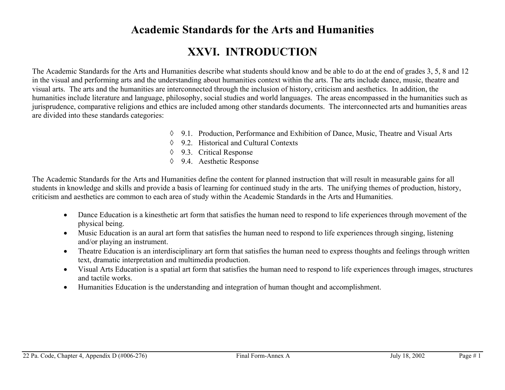### **XXVI. INTRODUCTION**

The Academic Standards for the Arts and Humanities describe what students should know and be able to do at the end of grades 3, 5, 8 and 12 in the visual and performing arts and the understanding about humanities context within the arts. The arts include dance, music, theatre and visual arts. The arts and the humanities are interconnected through the inclusion of history, criticism and aesthetics. In addition, the humanities include literature and language, philosophy, social studies and world languages. The areas encompassed in the humanities such as jurisprudence, comparative religions and ethics are included among other standards documents. The interconnected arts and humanities areas are divided into these standards categories:

- ◊ 9.1. Production, Performance and Exhibition of Dance, Music, Theatre and Visual Arts
- ◊ 9.2. Historical and Cultural Contexts
- ◊ 9.3. Critical Response
- ◊ 9.4. Aesthetic Response

The Academic Standards for the Arts and Humanities define the content for planned instruction that will result in measurable gains for all students in knowledge and skills and provide a basis of learning for continued study in the arts. The unifying themes of production, history, criticism and aesthetics are common to each area of study within the Academic Standards in the Arts and Humanities.

- Dance Education is a kinesthetic art form that satisfies the human need to respond to life experiences through movement of the physical being.
- Music Education is an aural art form that satisfies the human need to respond to life experiences through singing, listening and/or playing an instrument.
- Theatre Education is an interdisciplinary art form that satisfies the human need to express thoughts and feelings through written text, dramatic interpretation and multimedia production.
- Visual Arts Education is a spatial art form that satisfies the human need to respond to life experiences through images, structures and tactile works.
- Humanities Education is the understanding and integration of human thought and accomplishment.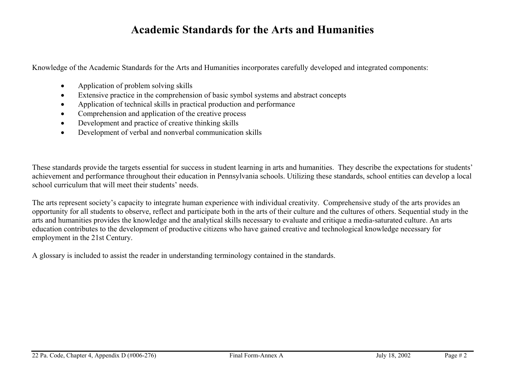Knowledge of the Academic Standards for the Arts and Humanities incorporates carefully developed and integrated components:

- Application of problem solving skills
- Extensive practice in the comprehension of basic symbol systems and abstract concepts
- Application of technical skills in practical production and performance
- Comprehension and application of the creative process
- Development and practice of creative thinking skills
- Development of verbal and nonverbal communication skills

These standards provide the targets essential for success in student learning in arts and humanities. They describe the expectations for students' achievement and performance throughout their education in Pennsylvania schools. Utilizing these standards, school entities can develop a local school curriculum that will meet their students' needs.

The arts represent society's capacity to integrate human experience with individual creativity. Comprehensive study of the arts provides an opportunity for all students to observe, reflect and participate both in the arts of their culture and the cultures of others. Sequential study in the arts and humanities provides the knowledge and the analytical skills necessary to evaluate and critique a media-saturated culture. An arts education contributes to the development of productive citizens who have gained creative and technological knowledge necessary for employment in the 21st Century.

A glossary is included to assist the reader in understanding terminology contained in the standards.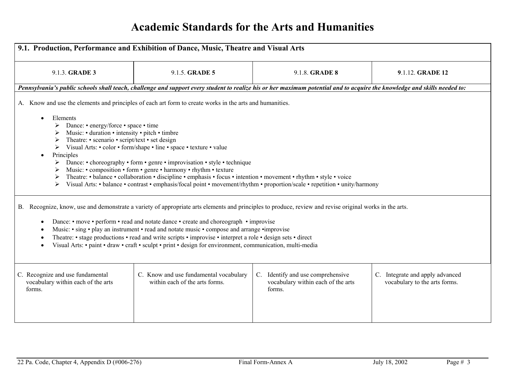| 9.1. Production, Performance and Exhibition of Dance, Music, Theatre and Visual Arts                                                                                                                                                                                                                                                                                                                                                                                                                                                                                                                                                                                                                                                                                                           |                                                                          |                                                                                                                                                                           |                                                                  |  |
|------------------------------------------------------------------------------------------------------------------------------------------------------------------------------------------------------------------------------------------------------------------------------------------------------------------------------------------------------------------------------------------------------------------------------------------------------------------------------------------------------------------------------------------------------------------------------------------------------------------------------------------------------------------------------------------------------------------------------------------------------------------------------------------------|--------------------------------------------------------------------------|---------------------------------------------------------------------------------------------------------------------------------------------------------------------------|------------------------------------------------------------------|--|
| 9.1.3. GRADE 3                                                                                                                                                                                                                                                                                                                                                                                                                                                                                                                                                                                                                                                                                                                                                                                 | 9.1.5. GRADE 5                                                           | 9.1.8. <b>GRADE 8</b>                                                                                                                                                     | 9.1.12. GRADE 12                                                 |  |
|                                                                                                                                                                                                                                                                                                                                                                                                                                                                                                                                                                                                                                                                                                                                                                                                |                                                                          | Pennsylvania's public schools shall teach, challenge and support every student to realize his or her maximum potential and to acquire the knowledge and skills needed to: |                                                                  |  |
| A. Know and use the elements and principles of each art form to create works in the arts and humanities.<br>Elements<br>$\bullet$<br>Dance: • energy/force • space • time<br>Music: • duration • intensity • pitch • timbre<br>Theatre: • scenario • script/text • set design<br>➤<br>Visual Arts: • color • form/shape • line • space • texture • value<br>➤<br>Principles<br>Dance: • choreography • form • genre • improvisation • style • technique<br>➤<br>Music: • composition • form • genre • harmony • rhythm • texture<br>Theatre: • balance • collaboration • discipline • emphasis • focus • intention • movement • rhythm • style • voice<br>➤<br>Visual Arts: • balance • contrast • emphasis/focal point • movement/rhythm • proportion/scale • repetition • unity/harmony<br>➤ |                                                                          |                                                                                                                                                                           |                                                                  |  |
| B. Recognize, know, use and demonstrate a variety of appropriate arts elements and principles to produce, review and revise original works in the arts.<br>Dance: • move • perform • read and notate dance • create and choreograph • improvise<br>$\bullet$<br>Music: • sing • play an instrument • read and notate music • compose and arrange • improvise<br>٠<br>Theatre: • stage productions • read and write scripts • improvise • interpret a role • design sets • direct<br>Visual Arts: • paint • draw • craft • sculpt • print • design for environment, communication, multi-media                                                                                                                                                                                                  |                                                                          |                                                                                                                                                                           |                                                                  |  |
| C. Recognize and use fundamental<br>vocabulary within each of the arts<br>forms.                                                                                                                                                                                                                                                                                                                                                                                                                                                                                                                                                                                                                                                                                                               | C. Know and use fundamental vocabulary<br>within each of the arts forms. | $C_{\cdot}$<br>Identify and use comprehensive<br>vocabulary within each of the arts<br>forms.                                                                             | C. Integrate and apply advanced<br>vocabulary to the arts forms. |  |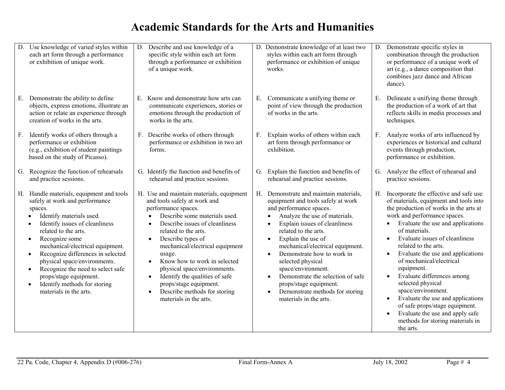|    | D. Use knowledge of varied styles within<br>each art form through a performance<br>or exhibition of unique work.                                                                                                                                                                                                                                                                                                                                                                    | D. Describe and use knowledge of a<br>specific style within each art form<br>through a performance or exhibition<br>of a unique work.                                                                                                                                                                                                                                                                                                                                                                  |    | D. Demonstrate knowledge of at least two<br>styles within each art form through<br>performance or exhibition of unique<br>works.                                                                                                                                                                                                                                                                                                                                                                                     |    | D. Demonstrate specific styles in<br>combination through the production<br>or performance of a unique work of<br>art (e.g., a dance composition that<br>combines jazz dance and African<br>dance).                                                                                                                                                                                                                                                                                                                                                                                                         |
|----|-------------------------------------------------------------------------------------------------------------------------------------------------------------------------------------------------------------------------------------------------------------------------------------------------------------------------------------------------------------------------------------------------------------------------------------------------------------------------------------|--------------------------------------------------------------------------------------------------------------------------------------------------------------------------------------------------------------------------------------------------------------------------------------------------------------------------------------------------------------------------------------------------------------------------------------------------------------------------------------------------------|----|----------------------------------------------------------------------------------------------------------------------------------------------------------------------------------------------------------------------------------------------------------------------------------------------------------------------------------------------------------------------------------------------------------------------------------------------------------------------------------------------------------------------|----|------------------------------------------------------------------------------------------------------------------------------------------------------------------------------------------------------------------------------------------------------------------------------------------------------------------------------------------------------------------------------------------------------------------------------------------------------------------------------------------------------------------------------------------------------------------------------------------------------------|
| Е. | Demonstrate the ability to define<br>objects, express emotions, illustrate an<br>action or relate an experience through<br>creation of works in the arts.                                                                                                                                                                                                                                                                                                                           | E. Know and demonstrate how arts can<br>communicate experiences, stories or<br>emotions through the production of<br>works in the arts.                                                                                                                                                                                                                                                                                                                                                                | Е. | Communicate a unifying theme or<br>point of view through the production<br>of works in the arts.                                                                                                                                                                                                                                                                                                                                                                                                                     | Е. | Delineate a unifying theme through<br>the production of a work of art that<br>reflects skills in media processes and<br>techniques.                                                                                                                                                                                                                                                                                                                                                                                                                                                                        |
| F. | Identify works of others through a<br>performance or exhibition<br>(e.g., exhibition of student paintings)<br>based on the study of Picasso).                                                                                                                                                                                                                                                                                                                                       | F. Describe works of others through<br>performance or exhibition in two art<br>forms.                                                                                                                                                                                                                                                                                                                                                                                                                  | F. | Explain works of others within each<br>art form through performance or<br>exhibition.                                                                                                                                                                                                                                                                                                                                                                                                                                | F. | Analyze works of arts influenced by<br>experiences or historical and cultural<br>events through production,<br>performance or exhibition.                                                                                                                                                                                                                                                                                                                                                                                                                                                                  |
|    | G. Recognize the function of rehearsals<br>and practice sessions.                                                                                                                                                                                                                                                                                                                                                                                                                   | G. Identify the function and benefits of<br>rehearsal and practice sessions.                                                                                                                                                                                                                                                                                                                                                                                                                           |    | G. Explain the function and benefits of<br>rehearsal and practice sessions.                                                                                                                                                                                                                                                                                                                                                                                                                                          | G. | Analyze the effect of rehearsal and<br>practice sessions.                                                                                                                                                                                                                                                                                                                                                                                                                                                                                                                                                  |
|    | H. Handle materials, equipment and tools<br>safely at work and performance<br>spaces.<br>Identify materials used.<br>Identify issues of cleanliness<br>related to the arts.<br>Recognize some<br>$\bullet$<br>mechanical/electrical equipment.<br>Recognize differences in selected<br>$\bullet$<br>physical space/environments.<br>Recognize the need to select safe<br>$\bullet$<br>props/stage equipment.<br>Identify methods for storing<br>$\bullet$<br>materials in the arts. | H. Use and maintain materials, equipment<br>and tools safely at work and<br>performance spaces.<br>Describe some materials used.<br>Describe issues of cleanliness<br>related to the arts.<br>Describe types of<br>$\bullet$<br>mechanical/electrical equipment<br>usage.<br>Know how to work in selected<br>$\bullet$<br>physical space/environments.<br>Identify the qualities of safe<br>$\bullet$<br>props/stage equipment.<br>Describe methods for storing<br>$\bullet$<br>materials in the arts. |    | H. Demonstrate and maintain materials,<br>equipment and tools safely at work<br>and performance spaces.<br>Analyze the use of materials.<br>Explain issues of cleanliness<br>related to the arts.<br>Explain the use of<br>$\bullet$<br>mechanical/electrical equipment.<br>Demonstrate how to work in<br>$\bullet$<br>selected physical<br>space/environment.<br>Demonstrate the selection of safe<br>$\bullet$<br>props/stage equipment.<br>Demonstrate methods for storing<br>$\bullet$<br>materials in the arts. | Н. | Incorporate the effective and safe use<br>of materials, equipment and tools into<br>the production of works in the arts at<br>work and performance spaces.<br>Evaluate the use and applications<br>of materials.<br>Evaluate issues of cleanliness<br>related to the arts.<br>Evaluate the use and applications<br>of mechanical/electrical<br>equipment.<br>Evaluate differences among<br>$\bullet$<br>selected physical<br>space/environment.<br>Evaluate the use and applications<br>of safe props/stage equipment.<br>Evaluate the use and apply safe<br>methods for storing materials in<br>the arts. |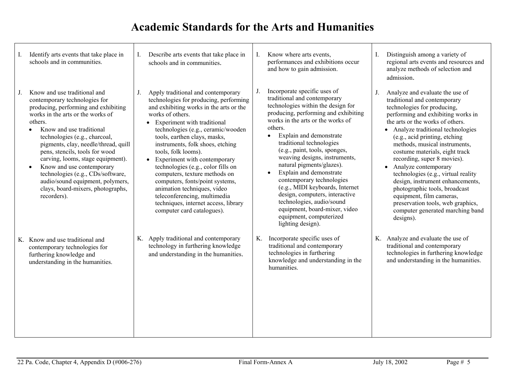| Identify arts events that take place in<br>schools and in communities.                                                                                                                                                                                                                                                                                                                                                                                                                      | I. | Describe arts events that take place in<br>schools and in communities.                                                                                                                                                                                                                                                                                                                                                                                                                                                                                                                         | I. | Know where arts events,<br>performances and exhibitions occur<br>and how to gain admission.                                                                                                                                                                                                                                                                                                                                                                                                                                                                                                 | Distinguish among a variety of<br>regional arts events and resources and<br>analyze methods of selection and<br>admission.                                                                                                                                                                                                                                                                                                                                                                                                                                                                              |
|---------------------------------------------------------------------------------------------------------------------------------------------------------------------------------------------------------------------------------------------------------------------------------------------------------------------------------------------------------------------------------------------------------------------------------------------------------------------------------------------|----|------------------------------------------------------------------------------------------------------------------------------------------------------------------------------------------------------------------------------------------------------------------------------------------------------------------------------------------------------------------------------------------------------------------------------------------------------------------------------------------------------------------------------------------------------------------------------------------------|----|---------------------------------------------------------------------------------------------------------------------------------------------------------------------------------------------------------------------------------------------------------------------------------------------------------------------------------------------------------------------------------------------------------------------------------------------------------------------------------------------------------------------------------------------------------------------------------------------|---------------------------------------------------------------------------------------------------------------------------------------------------------------------------------------------------------------------------------------------------------------------------------------------------------------------------------------------------------------------------------------------------------------------------------------------------------------------------------------------------------------------------------------------------------------------------------------------------------|
| Know and use traditional and<br>contemporary technologies for<br>producing, performing and exhibiting<br>works in the arts or the works of<br>others.<br>Know and use traditional<br>technologies (e.g., charcoal,<br>pigments, clay, needle/thread, quill<br>pens, stencils, tools for wood<br>carving, looms, stage equipment).<br>Know and use contemporary<br>technologies (e.g., CDs/software,<br>audio/sound equipment, polymers,<br>clays, board-mixers, photographs,<br>recorders). | J. | Apply traditional and contemporary<br>technologies for producing, performing<br>and exhibiting works in the arts or the<br>works of others.<br>• Experiment with traditional<br>technologies (e.g., ceramic/wooden<br>tools, earthen clays, masks,<br>instruments, folk shoes, etching<br>tools, folk looms).<br>• Experiment with contemporary<br>technologies (e.g., color fills on<br>computers, texture methods on<br>computers, fonts/point systems,<br>animation techniques, video<br>teleconferencing, multimedia<br>techniques, internet access, library<br>computer card catalogues). | J. | Incorporate specific uses of<br>traditional and contemporary<br>technologies within the design for<br>producing, performing and exhibiting<br>works in the arts or the works of<br>others.<br>Explain and demonstrate<br>traditional technologies<br>(e.g., paint, tools, sponges,<br>weaving designs, instruments,<br>natural pigments/glazes).<br>Explain and demonstrate<br>contemporary technologies<br>(e.g., MIDI keyboards, Internet<br>design, computers, interactive<br>technologies, audio/sound<br>equipment, board-mixer, video<br>equipment, computerized<br>lighting design). | Analyze and evaluate the use of<br>traditional and contemporary<br>technologies for producing,<br>performing and exhibiting works in<br>the arts or the works of others.<br>Analyze traditional technologies<br>(e.g., acid printing, etching<br>methods, musical instruments,<br>costume materials, eight track<br>recording, super 8 movies).<br>• Analyze contemporary<br>technologies (e.g., virtual reality<br>design, instrument enhancements,<br>photographic tools, broadcast<br>equipment, film cameras,<br>preservation tools, web graphics,<br>computer generated marching band<br>designs). |
| K. Know and use traditional and<br>contemporary technologies for<br>furthering knowledge and<br>understanding in the humanities.                                                                                                                                                                                                                                                                                                                                                            |    | K. Apply traditional and contemporary<br>technology in furthering knowledge<br>and understanding in the humanities.                                                                                                                                                                                                                                                                                                                                                                                                                                                                            | K. | Incorporate specific uses of<br>traditional and contemporary<br>technologies in furthering<br>knowledge and understanding in the<br>humanities.                                                                                                                                                                                                                                                                                                                                                                                                                                             | K. Analyze and evaluate the use of<br>traditional and contemporary<br>technologies in furthering knowledge<br>and understanding in the humanities.                                                                                                                                                                                                                                                                                                                                                                                                                                                      |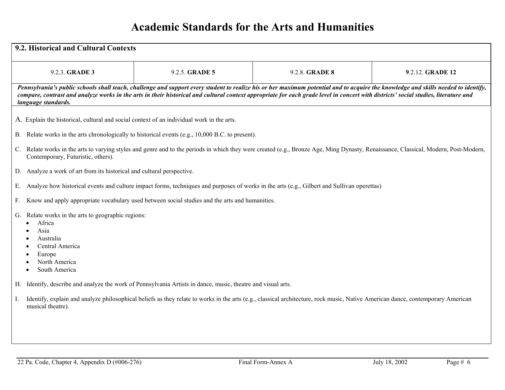| 9.2. Historical and Cultural Contexts                                                                                                            |                                                                                                                                                                                                                                                                                                                                                                           |                |                  |  |  |
|--------------------------------------------------------------------------------------------------------------------------------------------------|---------------------------------------------------------------------------------------------------------------------------------------------------------------------------------------------------------------------------------------------------------------------------------------------------------------------------------------------------------------------------|----------------|------------------|--|--|
| 9.2.3. GRADE 3                                                                                                                                   | 9.2.5. GRADE 5                                                                                                                                                                                                                                                                                                                                                            | 9.2.8. GRADE 8 | 9.2.12. GRADE 12 |  |  |
| language standards.                                                                                                                              | Pennsylvania's public schools shall teach, challenge and support every student to realize his or her maximum potential and to acquire the knowledge and skills needed to identify,<br>compare, contrast and analyze works in the arts in their historical and cultural context appropriate for each grade level in concert with districts' social studies, literature and |                |                  |  |  |
| A. Explain the historical, cultural and social context of an individual work in the arts.                                                        |                                                                                                                                                                                                                                                                                                                                                                           |                |                  |  |  |
| <b>B.</b>                                                                                                                                        | Relate works in the arts chronologically to historical events (e.g., 10,000 B.C. to present).                                                                                                                                                                                                                                                                             |                |                  |  |  |
| $C_{\cdot}$<br>Contemporary, Futuristic, others).                                                                                                | Relate works in the arts to varying styles and genre and to the periods in which they were created (e.g., Bronze Age, Ming Dynasty, Renaissance, Classical, Modern, Post-Modern,                                                                                                                                                                                          |                |                  |  |  |
| Analyze a work of art from its historical and cultural perspective.<br>D.                                                                        |                                                                                                                                                                                                                                                                                                                                                                           |                |                  |  |  |
| Е.                                                                                                                                               | Analyze how historical events and culture impact forms, techniques and purposes of works in the arts (e.g., Gilbert and Sullivan operettas)                                                                                                                                                                                                                               |                |                  |  |  |
| F.                                                                                                                                               | Know and apply appropriate vocabulary used between social studies and the arts and humanities.                                                                                                                                                                                                                                                                            |                |                  |  |  |
| G. Relate works in the arts to geographic regions:<br>Africa<br>Asia<br>Australia<br>Central America<br>Europe<br>North America<br>South America |                                                                                                                                                                                                                                                                                                                                                                           |                |                  |  |  |
|                                                                                                                                                  | H. Identify, describe and analyze the work of Pennsylvania Artists in dance, music, theatre and visual arts.                                                                                                                                                                                                                                                              |                |                  |  |  |
| I.<br>musical theatre).                                                                                                                          | Identify, explain and analyze philosophical beliefs as they relate to works in the arts (e.g., classical architecture, rock music, Native American dance, contemporary American                                                                                                                                                                                           |                |                  |  |  |
|                                                                                                                                                  |                                                                                                                                                                                                                                                                                                                                                                           |                |                  |  |  |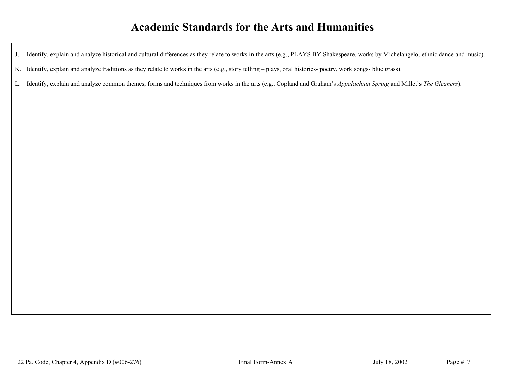J. Identify, explain and analyze historical and cultural differences as they relate to works in the arts (e.g., PLAYS BY Shakespeare, works by Michelangelo, ethnic dance and music).

K. Identify, explain and analyze traditions as they relate to works in the arts (e.g., story telling – plays, oral histories- poetry, work songs- blue grass).

L. Identify, explain and analyze common themes, forms and techniques from works in the arts (e.g., Copland and Graham's *Appalachian Spring* and Millet's *The Gleaners*).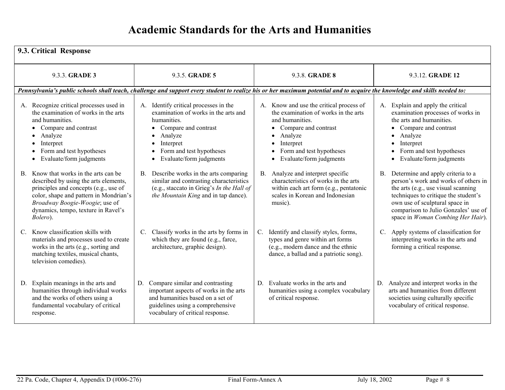| 9.3. Critical Response                                                                                                                                                                                                                                     |                                                                                                                                                                                                                     |                                                                                                                                                                                                                                     |                                                                                                                                                                                                                                                                               |
|------------------------------------------------------------------------------------------------------------------------------------------------------------------------------------------------------------------------------------------------------------|---------------------------------------------------------------------------------------------------------------------------------------------------------------------------------------------------------------------|-------------------------------------------------------------------------------------------------------------------------------------------------------------------------------------------------------------------------------------|-------------------------------------------------------------------------------------------------------------------------------------------------------------------------------------------------------------------------------------------------------------------------------|
| 9.3.3. GRADE 3                                                                                                                                                                                                                                             | 9.3.5. GRADE 5                                                                                                                                                                                                      | 9.3.8. <b>GRADE 8</b>                                                                                                                                                                                                               | 9.3.12. GRADE 12                                                                                                                                                                                                                                                              |
|                                                                                                                                                                                                                                                            | Pennsylvania's public schools shall teach, challenge and support every student to realize his or her maximum potential and to acquire the knowledge and skills needed to:                                           |                                                                                                                                                                                                                                     |                                                                                                                                                                                                                                                                               |
| A. Recognize critical processes used in<br>the examination of works in the arts<br>and humanities.<br>Compare and contrast<br>Analyze<br>$\bullet$<br>Interpret<br>$\bullet$<br>• Form and test hypotheses<br>• Evaluate/form judgments                    | Identify critical processes in the<br>A.<br>examination of works in the arts and<br>humanities.<br>Compare and contrast<br>Analyze<br>Interpret<br>Form and test hypotheses<br>$\bullet$<br>Evaluate/form judgments | A. Know and use the critical process of<br>the examination of works in the arts<br>and humanities.<br>Compare and contrast<br>Analyze<br>$\bullet$<br>Interpret<br>$\bullet$<br>Form and test hypotheses<br>Evaluate/form judgments | A. Explain and apply the critical<br>examination processes of works in<br>the arts and humanities.<br>Compare and contrast<br>Analyze<br>$\bullet$<br>Interpret<br>$\bullet$<br>Form and test hypotheses<br>Evaluate/form judgments                                           |
| Know that works in the arts can be.<br>B.<br>described by using the arts elements,<br>principles and concepts (e.g., use of<br>color, shape and pattern in Mondrian's<br>Broadway Boogie-Woogie; use of<br>dynamics, tempo, texture in Ravel's<br>Bolero). | Describe works in the arts comparing<br>$\mathbf{B}$ .<br>similar and contrasting characteristics<br>(e.g., staccato in Grieg's In the Hall of<br>the Mountain King and in tap dance).                              | Analyze and interpret specific<br>$B_{\cdot}$<br>characteristics of works in the arts<br>within each art form (e.g., pentatonic<br>scales in Korean and Indonesian<br>music).                                                       | Determine and apply criteria to a<br>В.<br>person's work and works of others in<br>the arts (e.g., use visual scanning<br>techniques to critique the student's<br>own use of sculptural space in<br>comparison to Julio Gonzales' use of<br>space in Woman Combing Her Hair). |
| Know classification skills with<br>C.<br>materials and processes used to create<br>works in the arts (e.g., sorting and<br>matching textiles, musical chants,<br>television comedies).                                                                     | Classify works in the arts by forms in<br>$C_{\cdot}$<br>which they are found (e.g., farce,<br>architecture, graphic design).                                                                                       | Identify and classify styles, forms,<br>C.<br>types and genre within art forms<br>(e.g., modern dance and the ethnic<br>dance, a ballad and a patriotic song).                                                                      | Apply systems of classification for<br>C.<br>interpreting works in the arts and<br>forming a critical response.                                                                                                                                                               |
| Explain meanings in the arts and<br>D.<br>humanities through individual works<br>and the works of others using a<br>fundamental vocabulary of critical<br>response.                                                                                        | Compare similar and contrasting<br>D.<br>important aspects of works in the arts<br>and humanities based on a set of<br>guidelines using a comprehensive<br>vocabulary of critical response.                         | Evaluate works in the arts and<br>D.<br>humanities using a complex vocabulary<br>of critical response.                                                                                                                              | Analyze and interpret works in the<br>D.<br>arts and humanities from different<br>societies using culturally specific<br>vocabulary of critical response.                                                                                                                     |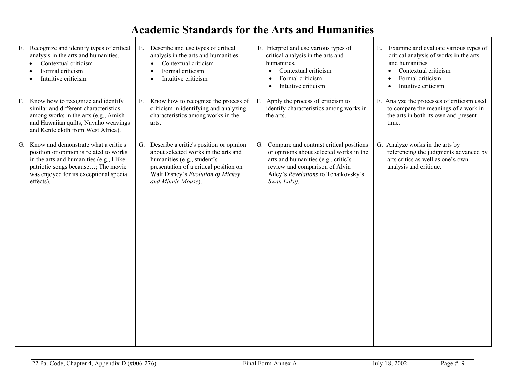| Recognize and identify types of critical<br>Е.<br>analysis in the arts and humanities.<br>Contextual criticism<br>Formal criticism<br>Intuitive criticism                                                                       | E. Describe and use types of critical<br>analysis in the arts and humanities.<br>Contextual criticism<br>$\bullet$<br>Formal criticism<br>$\bullet$<br>Intuitive criticism<br>$\bullet$                                | E. Interpret and use various types of<br>critical analysis in the arts and<br>humanities.<br>Contextual criticism<br>Formal criticism<br>Intuitive criticism                                                             | E. Examine and evaluate various types of<br>critical analysis of works in the arts<br>and humanities.<br>Contextual criticism<br>Formal criticism<br>$\bullet$<br>Intuitive criticism<br>$\bullet$ |
|---------------------------------------------------------------------------------------------------------------------------------------------------------------------------------------------------------------------------------|------------------------------------------------------------------------------------------------------------------------------------------------------------------------------------------------------------------------|--------------------------------------------------------------------------------------------------------------------------------------------------------------------------------------------------------------------------|----------------------------------------------------------------------------------------------------------------------------------------------------------------------------------------------------|
| Know how to recognize and identify<br>F.<br>similar and different characteristics<br>among works in the arts (e.g., Amish<br>and Hawaiian quilts, Navaho weavings<br>and Kente cloth from West Africa).                         | F. Know how to recognize the process of<br>criticism in identifying and analyzing<br>characteristics among works in the<br>arts.                                                                                       | F. Apply the process of criticism to<br>identify characteristics among works in<br>the arts.                                                                                                                             | F. Analyze the processes of criticism used<br>to compare the meanings of a work in<br>the arts in both its own and present<br>time.                                                                |
| Know and demonstrate what a critic's<br>G.<br>position or opinion is related to works<br>in the arts and humanities (e.g., I like<br>patriotic songs because; The movie<br>was enjoyed for its exceptional special<br>effects). | G. Describe a critic's position or opinion<br>about selected works in the arts and<br>humanities (e.g., student's<br>presentation of a critical position on<br>Walt Disney's Evolution of Mickey<br>and Minnie Mouse). | Compare and contrast critical positions<br>G.<br>or opinions about selected works in the<br>arts and humanities (e.g., critic's<br>review and comparison of Alvin<br>Ailey's Revelations to Tchaikovsky's<br>Swan Lake). | G. Analyze works in the arts by<br>referencing the judgments advanced by<br>arts critics as well as one's own<br>analysis and critique.                                                            |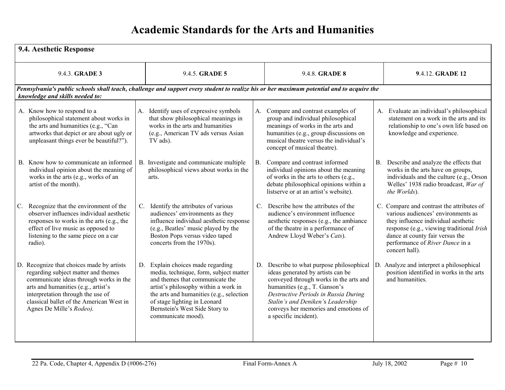| 9.4. Aesthetic Response                                                                                                                                                                                                                                                        |                                                                                                                                                                                                                                                                                            |                                                                                                                                                                                                                                                                                                            |                                                                                                                                                                                                                                                             |
|--------------------------------------------------------------------------------------------------------------------------------------------------------------------------------------------------------------------------------------------------------------------------------|--------------------------------------------------------------------------------------------------------------------------------------------------------------------------------------------------------------------------------------------------------------------------------------------|------------------------------------------------------------------------------------------------------------------------------------------------------------------------------------------------------------------------------------------------------------------------------------------------------------|-------------------------------------------------------------------------------------------------------------------------------------------------------------------------------------------------------------------------------------------------------------|
| 9.4.3. GRADE 3                                                                                                                                                                                                                                                                 | 9.4.5. GRADE 5                                                                                                                                                                                                                                                                             | 9.4.8. GRADE 8                                                                                                                                                                                                                                                                                             | 9.4.12. GRADE 12                                                                                                                                                                                                                                            |
| knowledge and skills needed to:                                                                                                                                                                                                                                                |                                                                                                                                                                                                                                                                                            | Pennsylvania's public schools shall teach, challenge and support every student to realize his or her maximum potential and to acquire the                                                                                                                                                                  |                                                                                                                                                                                                                                                             |
| A. Know how to respond to a<br>philosophical statement about works in<br>the arts and humanities (e.g., "Can<br>artworks that depict or are about ugly or<br>unpleasant things ever be beautiful?").                                                                           | A. Identify uses of expressive symbols<br>that show philosophical meanings in<br>works in the arts and humanities<br>(e.g., American TV ads versus Asian<br>TV ads).                                                                                                                       | Compare and contrast examples of<br>A.<br>group and individual philosophical<br>meanings of works in the arts and<br>humanities (e.g., group discussions on<br>musical theatre versus the individual's<br>concept of musical theatre).                                                                     | A. Evaluate an individual's philosophical<br>statement on a work in the arts and its<br>relationship to one's own life based on<br>knowledge and experience.                                                                                                |
| B. Know how to communicate an informed<br>individual opinion about the meaning of<br>works in the arts (e.g., works of an<br>artist of the month).                                                                                                                             | B. Investigate and communicate multiple<br>philosophical views about works in the<br>arts.                                                                                                                                                                                                 | Compare and contrast informed<br><b>B.</b><br>individual opinions about the meaning<br>of works in the arts to others (e.g.,<br>debate philosophical opinions within a<br>listserve or at an artist's website).                                                                                            | Describe and analyze the effects that<br><b>B.</b><br>works in the arts have on groups,<br>individuals and the culture (e.g., Orson<br>Welles' 1938 radio broadcast, War of<br>the Worlds).                                                                 |
| C. Recognize that the environment of the<br>observer influences individual aesthetic<br>responses to works in the arts (e.g., the<br>effect of live music as opposed to<br>listening to the same piece on a car<br>radio).                                                     | C. Identify the attributes of various<br>audiences' environments as they<br>influence individual aesthetic response<br>(e.g., Beatles' music played by the<br>Boston Pops versus video taped<br>concerts from the 1970s).                                                                  | Describe how the attributes of the<br>$C_{\cdot}$<br>audience's environment influence<br>aesthetic responses (e.g., the ambiance<br>of the theatre in a performance of<br>Andrew Lloyd Weber's Cats).                                                                                                      | C. Compare and contrast the attributes of<br>various audiences' environments as<br>they influence individual aesthetic<br>response (e.g., viewing traditional Irish<br>dance at county fair versus the<br>performance of River Dance in a<br>concert hall). |
| D. Recognize that choices made by artists<br>regarding subject matter and themes<br>communicate ideas through works in the<br>arts and humanities (e.g., artist's<br>interpretation through the use of<br>classical ballet of the American West in<br>Agnes De Mille's Rodeo). | D. Explain choices made regarding<br>media, technique, form, subject matter<br>and themes that communicate the<br>artist's philosophy within a work in<br>the arts and humanities (e.g., selection<br>of stage lighting in Leonard<br>Bernstein's West Side Story to<br>communicate mood). | Describe to what purpose philosophical<br>D.<br>ideas generated by artists can be<br>conveyed through works in the arts and<br>humanities (e.g., T. Ganson's<br>Destructive Periods in Russia During<br>Stalin's and Deniken's Leadership<br>conveys her memories and emotions of<br>a specific incident). | D. Analyze and interpret a philosophical<br>position identified in works in the arts<br>and humanities.                                                                                                                                                     |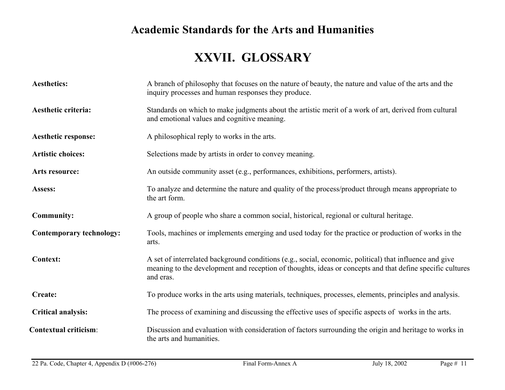# **XXVII. GLOSSARY**

| <b>Aesthetics:</b>              | A branch of philosophy that focuses on the nature of beauty, the nature and value of the arts and the<br>inquiry processes and human responses they produce.                                                                      |
|---------------------------------|-----------------------------------------------------------------------------------------------------------------------------------------------------------------------------------------------------------------------------------|
| Aesthetic criteria:             | Standards on which to make judgments about the artistic merit of a work of art, derived from cultural<br>and emotional values and cognitive meaning.                                                                              |
| <b>Aesthetic response:</b>      | A philosophical reply to works in the arts.                                                                                                                                                                                       |
| <b>Artistic choices:</b>        | Selections made by artists in order to convey meaning.                                                                                                                                                                            |
| Arts resource:                  | An outside community asset (e.g., performances, exhibitions, performers, artists).                                                                                                                                                |
| Assess:                         | To analyze and determine the nature and quality of the process/product through means appropriate to<br>the art form.                                                                                                              |
| <b>Community:</b>               | A group of people who share a common social, historical, regional or cultural heritage.                                                                                                                                           |
| <b>Contemporary technology:</b> | Tools, machines or implements emerging and used today for the practice or production of works in the<br>arts.                                                                                                                     |
| <b>Context:</b>                 | A set of interrelated background conditions (e.g., social, economic, political) that influence and give<br>meaning to the development and reception of thoughts, ideas or concepts and that define specific cultures<br>and eras. |
| <b>Create:</b>                  | To produce works in the arts using materials, techniques, processes, elements, principles and analysis.                                                                                                                           |
| <b>Critical analysis:</b>       | The process of examining and discussing the effective uses of specific aspects of works in the arts.                                                                                                                              |
| <b>Contextual criticism:</b>    | Discussion and evaluation with consideration of factors surrounding the origin and heritage to works in<br>the arts and humanities.                                                                                               |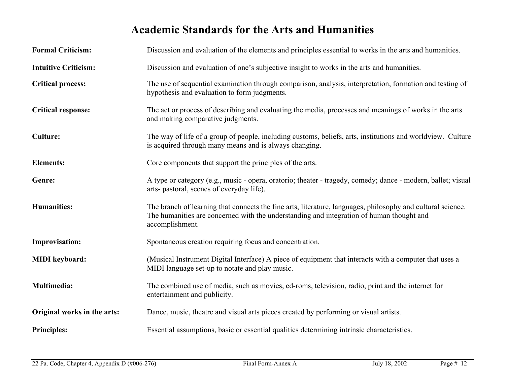| <b>Formal Criticism:</b>    | Discussion and evaluation of the elements and principles essential to works in the arts and humanities.                                                                                                                    |
|-----------------------------|----------------------------------------------------------------------------------------------------------------------------------------------------------------------------------------------------------------------------|
| <b>Intuitive Criticism:</b> | Discussion and evaluation of one's subjective insight to works in the arts and humanities.                                                                                                                                 |
| <b>Critical process:</b>    | The use of sequential examination through comparison, analysis, interpretation, formation and testing of<br>hypothesis and evaluation to form judgments.                                                                   |
| <b>Critical response:</b>   | The act or process of describing and evaluating the media, processes and meanings of works in the arts<br>and making comparative judgments.                                                                                |
| <b>Culture:</b>             | The way of life of a group of people, including customs, beliefs, arts, institutions and worldview. Culture<br>is acquired through many means and is always changing.                                                      |
| <b>Elements:</b>            | Core components that support the principles of the arts.                                                                                                                                                                   |
| Genre:                      | A type or category (e.g., music - opera, oratorio; theater - tragedy, comedy; dance - modern, ballet; visual<br>arts- pastoral, scenes of everyday life).                                                                  |
| <b>Humanities:</b>          | The branch of learning that connects the fine arts, literature, languages, philosophy and cultural science.<br>The humanities are concerned with the understanding and integration of human thought and<br>accomplishment. |
| <b>Improvisation:</b>       | Spontaneous creation requiring focus and concentration.                                                                                                                                                                    |
| <b>MIDI</b> keyboard:       | (Musical Instrument Digital Interface) A piece of equipment that interacts with a computer that uses a<br>MIDI language set-up to notate and play music.                                                                   |
| <b>Multimedia:</b>          | The combined use of media, such as movies, cd-roms, television, radio, print and the internet for<br>entertainment and publicity.                                                                                          |
| Original works in the arts: | Dance, music, theatre and visual arts pieces created by performing or visual artists.                                                                                                                                      |
| <b>Principles:</b>          | Essential assumptions, basic or essential qualities determining intrinsic characteristics.                                                                                                                                 |